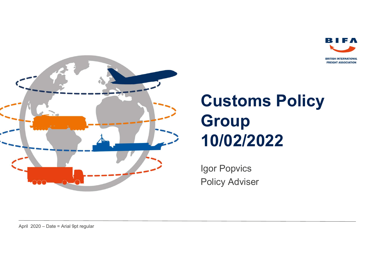



### Customs Policy **Group** 10/02/2022

Igor Popvics Policy Adviser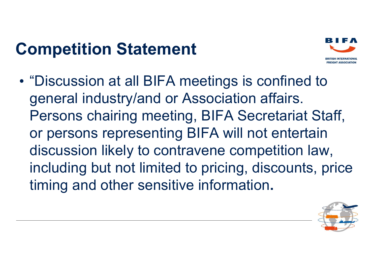### Competition Statement



• "Discussion at all BIFA meetings is confined to general industry/and or Association affairs. Persons chairing meeting, BIFA Secretariat Staff, or persons representing BIFA will not entertain discussion likely to contravene competition law, including but not limited to pricing, discounts, price timing and other sensitive information.

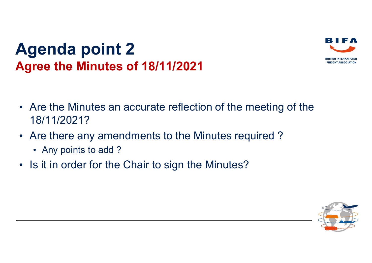#### Agenda point 2 Agree the Minutes of 18/11/2021



- Are the Minutes an accurate reflection of the meeting of the 18/11/2021?
- Are there any amendments to the Minutes required ?
	- Any points to add ?
- Is it in order for the Chair to sign the Minutes?

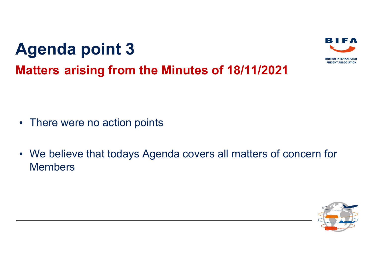# Agenda point 3 Agenda point 3<br>Matters arising from the Minutes of 18/11/2021



- There were no action points
- We believe that todays Agenda covers all matters of concern for Members

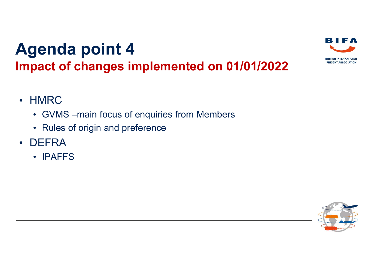

- HMRC
	- GVMS –main focus of enquiries from Members
	- Rules of origin and preference
- DEFRA
	- IPAFFS

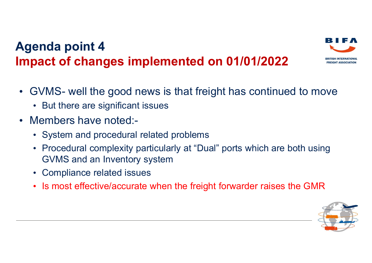# Agenda point 4 Impact of changes implemented on 01/01/2022 **Agenda point 4**<br> **• GVMS- well the good news is that freight has continued to move**<br>
• GVMS- well the good news is that freight has continued to move<br>
• Members have noted:



- But there are significant issues
- Members have noted:-
	- System and procedural related problems
	- Procedural complexity particularly at "Dual" ports which are both using GVMS and an Inventory system
	- Compliance related issues
	- Is most effective/accurate when the freight forwarder raises the GMR



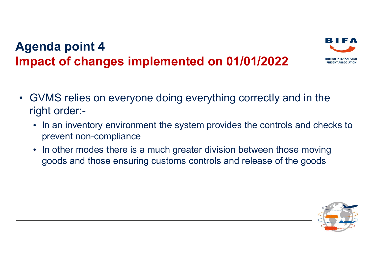

- GVMS relies on everyone doing everything correctly and in the right order:-
	- In an inventory environment the system provides the controls and checks to prevent non-compliance
	- In other modes there is a much greater division between those moving goods and those ensuring customs controls and release of the goods

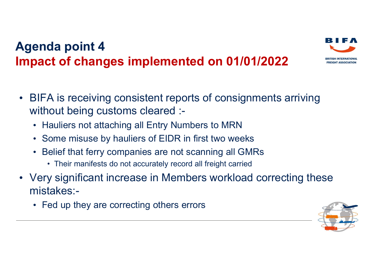

- Hauliers not attaching all Entry Numbers to MRN
- Some misuse by hauliers of EIDR in first two weeks
- Belief that ferry companies are not scanning all GMRs
	-
- Very significant increase in Members workload correcting these mistakes:-
	- Fed up they are correcting others errors

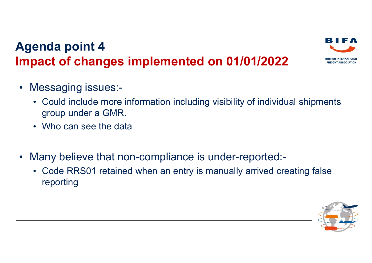

- Messaging issues:-
	- Could include more information including visibility of individual shipments group under a GMR.
	- Who can see the data
- Many believe that non-compliance is under-reported:-
	- Code RRS01 retained when an entry is manually arrived creating false reporting

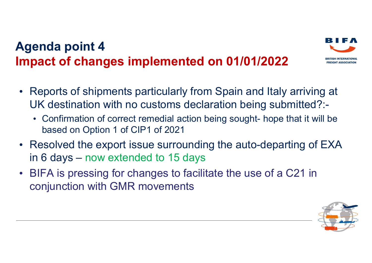# Agenda point 4 Impact of changes implemented on 01/01/2022 **enda point 4**<br> **• Confirmation of changes implemented on 01/01/2022**<br> **• Confirmation with no customs declaration being sought- hope that it will be**<br> **• Confirmation of correct remedial action being sought- hope that it**



- Reports of shipments particularly from Spain and Italy arriving at UK destination with no customs declaration being submitted?:
	- based on Option 1 of CIP1 of 2021
- Resolved the export issue surrounding the auto-departing of EXA in 6 days – now extended to 15 days
- BIFA is pressing for changes to facilitate the use of a C21 in conjunction with GMR movements

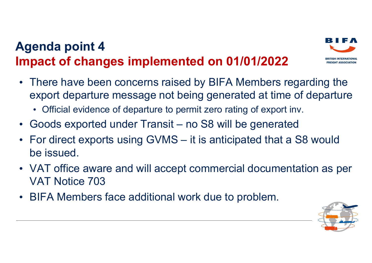

- There have been concerns raised by BIFA Members regarding the export departure message not being generated at time of departure Agenda point 4<br>
• There have been concerns raised by BIFA Members regarding the<br>
• There have been concerns raised by BIFA Members regarding the<br>
• cofficial evidence of departure to permit zero rating of export inv.<br>
• Go Agenda point 4<br> **elects**<br> **elects**<br>
• There have been concerns raised by BIFA Members regarding the<br>
export departure message not being generated at time of departure<br>
• Official evidence of departure to permit zero rating
	- Official evidence of departure to permit zero rating of export inv.
- 
- be issued.
- VAT office aware and will accept commercial documentation as per VAT Notice 703
- BIFA Members face additional work due to problem.

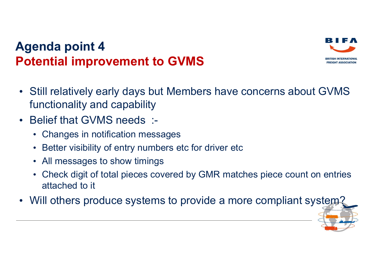#### Agenda point 4 Potential improvement to GVMS



- Still relatively early days but Members have concerns about GVMS functionality and capability
- Belief that GVMS needs :-
	- Changes in notification messages
	- Better visibility of entry numbers etc for driver etc
	- All messages to show timings
	- Check digit of total pieces covered by GMR matches piece count on entries attached to it
- Will others produce systems to provide a more compliant system?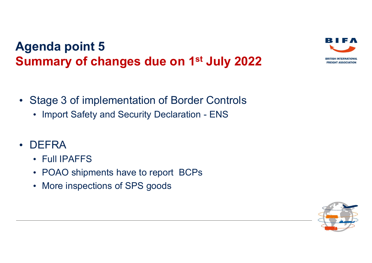# Agenda point 5 Summary of changes due on 1<sup>st</sup> July 2022 enda point 5<br>
Import of changes due on 1<sup>st</sup> July 2022<br>
Stage 3 of implementation of Border Controls<br>
• Import Safety and Security Declaration - ENS



- Stage 3 of implementation of Border Controls
	-
- DEFRA
	- Full IPAFFS
	- POAO shipments have to report BCPs
	- More inspections of SPS goods

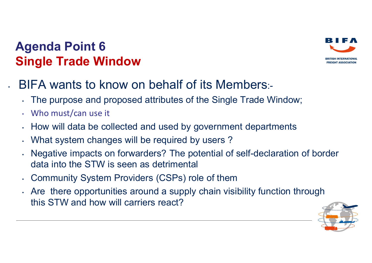#### Agenda Point 6 Single Trade Window



- The purpose and proposed attributes of the Single Trade Window;
- Who must/can use it
- How will data be collected and used by government departments
- What system changes will be required by users?
- Negative impacts on forwarders? The potential of self-declaration of border data into the STW is seen as detrimental
- Community System Providers (CSPs) role of them
- Are there opportunities around a supply chain visibility function through this STW and how will carriers react?



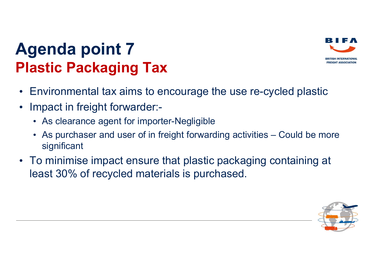

### Agenda point 7 Plastic Packaging Tax

- Environmental tax aims to encourage the use re-cycled plastic
- Impact in freight forwarder:-
	- As clearance agent for importer-Negligible
- **enda point 7<br>• Astic Packaging Tax**<br>• As clearance agent for importer-Negligible<br>• As clearance agent for importer-Negligible<br>• As purchaser and user of in freight forwarding activities Could be more<br>• significant<br>• To significant
- To minimise impact ensure that plastic packaging containing at least 30% of recycled materials is purchased.

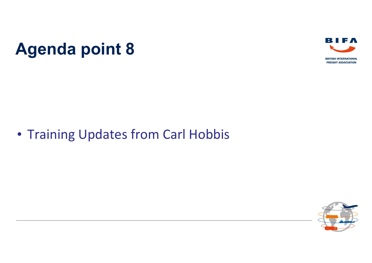Agenda point 8



#### • Training Updates from Carl Hobbis

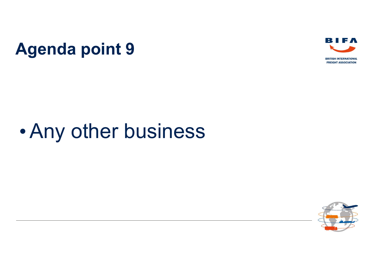Agenda point 9



## •Any other business

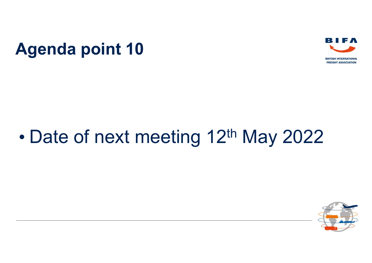



### • Date of next meeting 12<sup>th</sup> May 2022

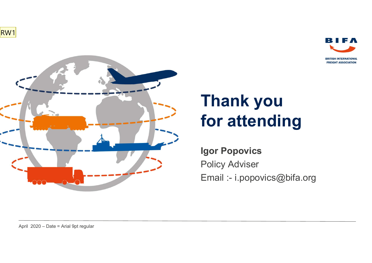RW1



# Thank you for attending **Thank you<br>for attending**<br>Igor Popovics<br>Policy Adviser<br>Email :- i.popovics@bifa.org

**BRITISH INTERNATIONAL FREIGHT ASSOCIATION** 

Igor Popovics Policy Adviser